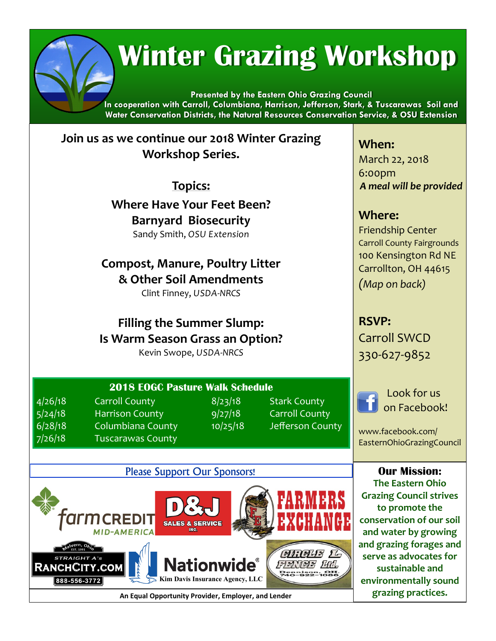# **Winter Grazing Workshop**

**Presented by the Eastern Ohio Grazing Council In cooperation with Carroll, Columbiana, Harrison, Jefferson, Stark, & Tuscarawas Soil and Water Conservation Districts, the Natural Resources Conservation Service, & OSU Extension**

**Join us as we continue our 2018 Winter Grazing Workshop Series.** 

**Topics:**

**Where Have Your Feet Been? Barnyard Biosecurity** Sandy Smith, *OSU Extension*

**Compost, Manure, Poultry Litter & Other Soil Amendments**  Clint Finney, *USDA-NRCS* 

**Filling the Summer Slump: Is Warm Season Grass an Option?**

Kevin Swope, *USDA-NRCS*

**When:** March 22, 2018 6:00pm *A meal will be provided*

## **Where:**

Friendship Center Carroll County Fairgrounds 100 Kensington Rd NE Carrollton, OH 44615 *(Map on back)*

**RSVP:** Carroll SWCD 330-627-9852

> Look for us on Facebook!

www.facebook.com/ EasternOhioGrazingCouncil

**Our Mission: The Eastern Ohio Grazing Council strives to promote the conservation of our soil and water by growing and grazing forages and serve as advocates for sustainable and environmentally sound grazing practices.**



**An Equal Opportunity Provider, Employer, and Lender**